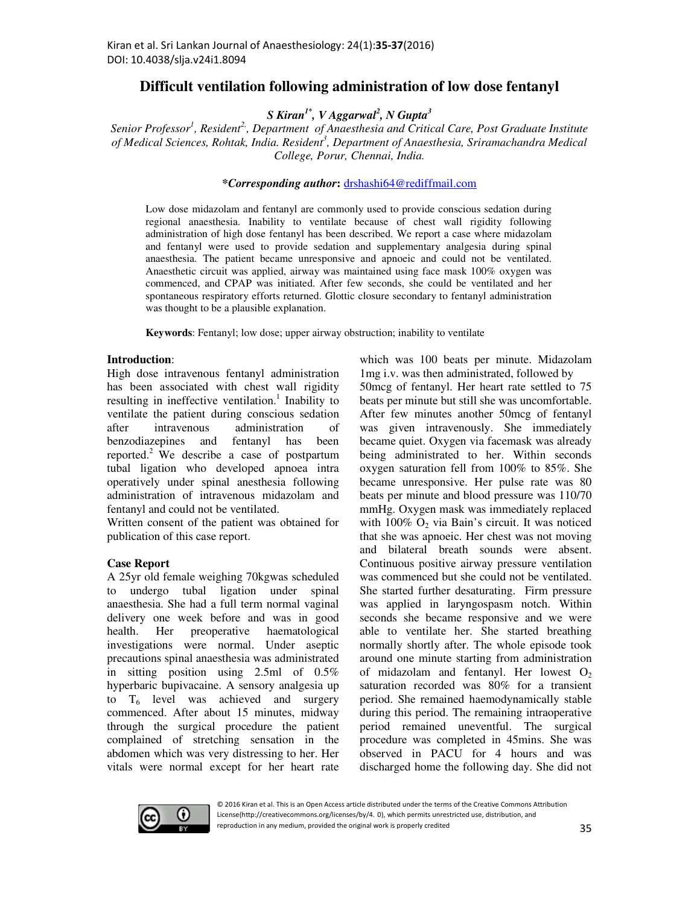# **Difficult ventilation following administration of low dose fentanyl**

# *S Kiran1\*, V Aggarwal<sup>2</sup> , N Gupta<sup>3</sup>*

*Senior Professor<sup>1</sup> , Resident2,, Department of Anaesthesia and Critical Care, Post Graduate Institute of Medical Sciences, Rohtak, India. Resident<sup>3</sup> , Department of Anaesthesia, Sriramachandra Medical College, Porur, Chennai, India.* 

# *\*Corresponding author***:** drshashi64@rediffmail.com

Low dose midazolam and fentanyl are commonly used to provide conscious sedation during regional anaesthesia. Inability to ventilate because of chest wall rigidity following administration of high dose fentanyl has been described. We report a case where midazolam and fentanyl were used to provide sedation and supplementary analgesia during spinal anaesthesia. The patient became unresponsive and apnoeic and could not be ventilated. Anaesthetic circuit was applied, airway was maintained using face mask 100% oxygen was commenced, and CPAP was initiated. After few seconds, she could be ventilated and her spontaneous respiratory efforts returned. Glottic closure secondary to fentanyl administration was thought to be a plausible explanation.

**Keywords**: Fentanyl; low dose; upper airway obstruction; inability to ventilate

#### **Introduction**:

High dose intravenous fentanyl administration has been associated with chest wall rigidity resulting in ineffective ventilation.<sup>1</sup> Inability to ventilate the patient during conscious sedation after intravenous administration of benzodiazepines and fentanyl has been reported.<sup>2</sup> We describe a case of postpartum tubal ligation who developed apnoea intra operatively under spinal anesthesia following administration of intravenous midazolam and fentanyl and could not be ventilated.

Written consent of the patient was obtained for publication of this case report.

### **Case Report**

A 25yr old female weighing 70kgwas scheduled to undergo tubal ligation under spinal anaesthesia. She had a full term normal vaginal delivery one week before and was in good health. Her preoperative haematological investigations were normal. Under aseptic precautions spinal anaesthesia was administrated in sitting position using 2.5ml of 0.5% hyperbaric bupivacaine. A sensory analgesia up to  $T_6$  level was achieved and surgery commenced. After about 15 minutes, midway through the surgical procedure the patient complained of stretching sensation in the abdomen which was very distressing to her. Her vitals were normal except for her heart rate

which was 100 beats per minute. Midazolam 1mg i.v. was then administrated, followed by 50mcg of fentanyl. Her heart rate settled to 75 beats per minute but still she was uncomfortable. After few minutes another 50mcg of fentanyl was given intravenously. She immediately became quiet. Oxygen via facemask was already being administrated to her. Within seconds oxygen saturation fell from 100% to 85%. She became unresponsive. Her pulse rate was 80 beats per minute and blood pressure was 110/70 mmHg. Oxygen mask was immediately replaced with  $100\%$  O<sub>2</sub> via Bain's circuit. It was noticed that she was apnoeic. Her chest was not moving and bilateral breath sounds were absent. Continuous positive airway pressure ventilation was commenced but she could not be ventilated. She started further desaturating. Firm pressure was applied in laryngospasm notch. Within seconds she became responsive and we were able to ventilate her. She started breathing normally shortly after. The whole episode took around one minute starting from administration of midazolam and fentanyl. Her lowest  $O_2$ saturation recorded was 80% for a transient period. She remained haemodynamically stable during this period. The remaining intraoperative period remained uneventful. The surgical procedure was completed in 45mins. She was observed in PACU for 4 hours and was discharged home the following day. She did not



<sup>© 2016</sup> Kiran et al. This is an Open Access article distributed under the terms of the Creative Commons Attribution License(http://creativecommons.org/licenses/by/4. 0), which permits unrestricted use, distribution, and reproduction in any medium, provided the original work is properly credited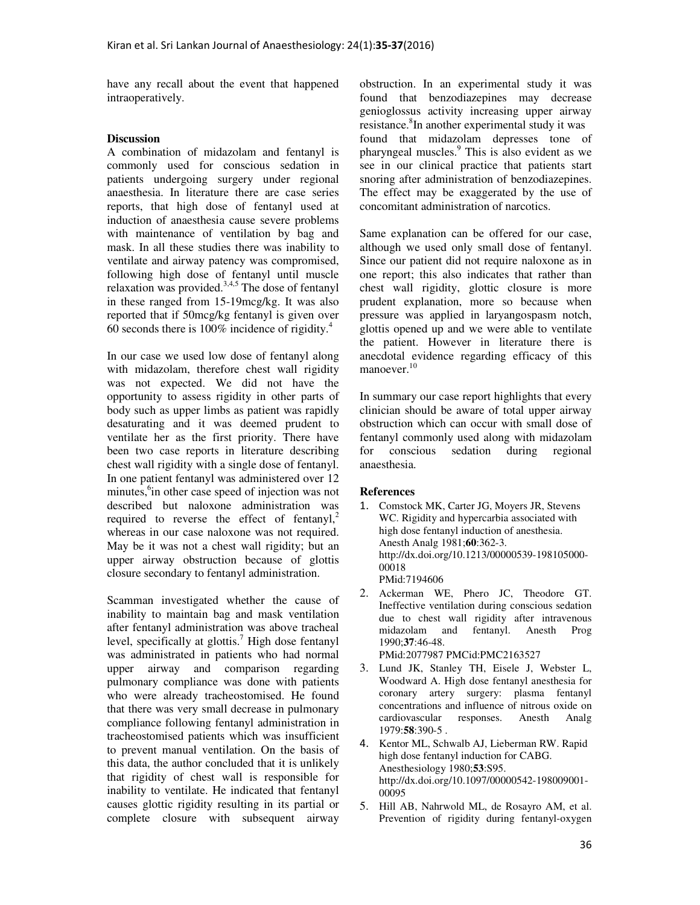have any recall about the event that happened intraoperatively.

## **Discussion**

A combination of midazolam and fentanyl is commonly used for conscious sedation in patients undergoing surgery under regional anaesthesia. In literature there are case series reports, that high dose of fentanyl used at induction of anaesthesia cause severe problems with maintenance of ventilation by bag and mask. In all these studies there was inability to ventilate and airway patency was compromised, following high dose of fentanyl until muscle relaxation was provided.<sup>3,4,5</sup> The dose of fentanyl in these ranged from 15-19mcg/kg. It was also reported that if 50mcg/kg fentanyl is given over 60 seconds there is  $100\%$  incidence of rigidity.<sup>4</sup>

In our case we used low dose of fentanyl along with midazolam, therefore chest wall rigidity was not expected. We did not have the opportunity to assess rigidity in other parts of body such as upper limbs as patient was rapidly desaturating and it was deemed prudent to ventilate her as the first priority. There have been two case reports in literature describing chest wall rigidity with a single dose of fentanyl. In one patient fentanyl was administered over 12 minutes, <sup>6</sup>in other case speed of injection was not described but naloxone administration was required to reverse the effect of fentanyl,<sup>2</sup> whereas in our case naloxone was not required. May be it was not a chest wall rigidity; but an upper airway obstruction because of glottis closure secondary to fentanyl administration.

Scamman investigated whether the cause of inability to maintain bag and mask ventilation after fentanyl administration was above tracheal level, specifically at glottis.<sup>7</sup> High dose fentanyl was administrated in patients who had normal upper airway and comparison regarding pulmonary compliance was done with patients who were already tracheostomised. He found that there was very small decrease in pulmonary compliance following fentanyl administration in tracheostomised patients which was insufficient to prevent manual ventilation. On the basis of this data, the author concluded that it is unlikely that rigidity of chest wall is responsible for inability to ventilate. He indicated that fentanyl causes glottic rigidity resulting in its partial or complete closure with subsequent airway

obstruction. In an experimental study it was found that benzodiazepines may decrease genioglossus activity increasing upper airway resistance.<sup>8</sup>In another experimental study it was found that midazolam depresses tone of pharyngeal muscles.<sup>9</sup> This is also evident as we see in our clinical practice that patients start snoring after administration of benzodiazepines. The effect may be exaggerated by the use of concomitant administration of narcotics.

Same explanation can be offered for our case, although we used only small dose of fentanyl. Since our patient did not require naloxone as in one report; this also indicates that rather than chest wall rigidity, glottic closure is more prudent explanation, more so because when pressure was applied in laryangospasm notch, glottis opened up and we were able to ventilate the patient. However in literature there is anecdotal evidence regarding efficacy of this manoever.<sup>10</sup>

In summary our case report highlights that every clinician should be aware of total upper airway obstruction which can occur with small dose of fentanyl commonly used along with midazolam for conscious sedation during regional anaesthesia.

### **References**

- 1. Comstock MK, Carter JG, Moyers JR, Stevens WC. Rigidity and hypercarbia associated with high dose fentanyl induction of anesthesia. Anesth Analg 1981;**60**:362-3. http://dx.doi.org/10.1213/00000539-198105000- 00018 PMid:7194606
- 2. Ackerman WE, Phero JC, Theodore GT. Ineffective ventilation during conscious sedation due to chest wall rigidity after intravenous midazolam and fentanyl. Anesth Prog 1990;**37**:46-48. PMid:2077987 PMCid:PMC2163527
- 3. Lund JK, Stanley TH, Eisele J, Webster L, Woodward A. High dose fentanyl anesthesia for coronary artery surgery: plasma fentanyl concentrations and influence of nitrous oxide on cardiovascular responses. Anesth Analg 1979:**58**:390-5 .
- 4. Kentor ML, Schwalb AJ, Lieberman RW. Rapid high dose fentanyl induction for CABG. Anesthesiology 1980;**53**:S95. http://dx.doi.org/10.1097/00000542-198009001- 00095
- 5. Hill AB, Nahrwold ML, de Rosayro AM, et al. Prevention of rigidity during fentanyl-oxygen